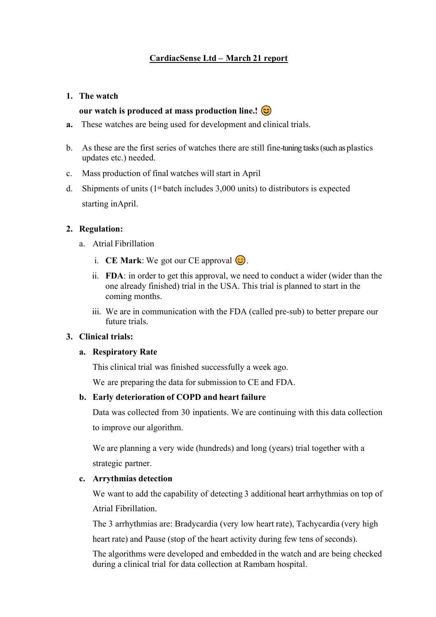# **CardiacSense Ltd – March 21 report**

#### **1. The watch**

### our watch is produced at mass production line.!  $\circledcirc$

- **a.** These watches are being used for development and clinical trials.
- b. As these are the first series of watches there are still fine-tuning tasks (such as plastics updates etc.) needed.
- c. Mass production of final watches will start in April
- d. Shipments of units  $(1<sup>st</sup> batch includes 3,000 units)$  to distributors is expected starting inApril.

## **2. Regulation:**

- a. Atrial Fibrillation
	- i. **CE Mark**: We got our CE approval  $\odot$ .
	- ii. **FDA**: in order to get this approval, we need to conduct a wider (wider than the one already finished) trial in the USA. This trial is planned to start in the coming months.
	- iii. We are in communication with the FDA (called pre-sub) to better prepare our future trials.

## **3. Clinical trials:**

#### **a. Respiratory Rate**

This clinical trial was finished successfully a week ago.

We are preparing the data for submission to CE and FDA.

#### **b. Early deterioration of COPD and heart failure**

Data was collected from 30 inpatients. We are continuing with this data collection to improve our algorithm.

We are planning a very wide (hundreds) and long (years) trial together with a strategic partner.

#### **c. Arrythmias detection**

We want to add the capability of detecting 3 additional heart arrhythmias on top of Atrial Fibrillation.

The 3 arrhythmias are: Bradycardia (very low heart rate), Tachycardia (very high

heart rate) and Pause (stop of the heart activity during few tens of seconds).

The algorithms were developed and embedded in the watch and are being checked during a clinical trial for data collection at Rambam hospital.